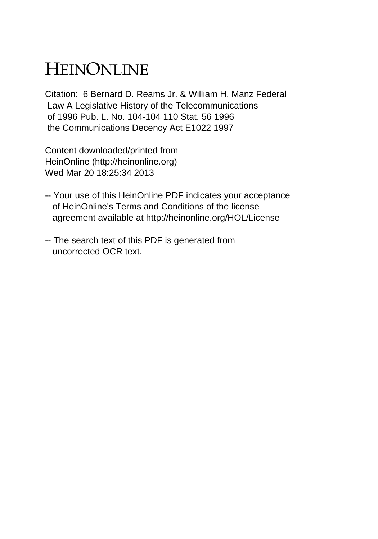# HEINONLINE

Citation: 6 Bernard D. Reams Jr. & William H. Manz Federal Law A Legislative History of the Telecommunications of 1996 Pub. L. No. 104-104 110 Stat. 56 1996 the Communications Decency Act E1022 1997

Content downloaded/printed from HeinOnline (http://heinonline.org) Wed Mar 20 18:25:34 2013

- -- Your use of this HeinOnline PDF indicates your acceptance of HeinOnline's Terms and Conditions of the license agreement available at http://heinonline.org/HOL/License
- -- The search text of this PDF is generated from uncorrected OCR text.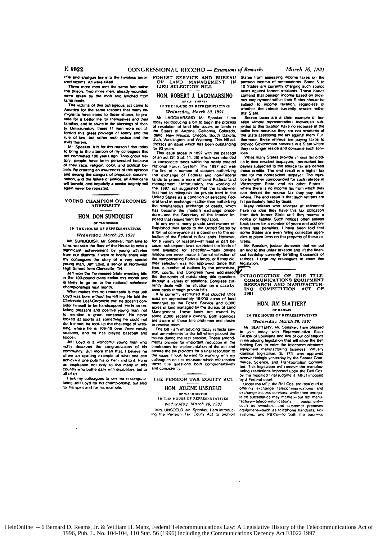the prison. Two more men, already wounded. were taken **by tie** mob and tyrlhad from lamp posts

The victims of this outrageous act came to America **for** the same reasons that many enmigrants **have come to** these shores **to** pro. **vide** for **a** better **hfe for** themselves and **their** families, and to share in the blessings of liberfy Unfortunately. these **It** men **ware** not **af**forded **this** great prnilege of iberty and the rule of law, but rather mob justice and the evils therein.

Mr Speaker. **h is** for **tis** reason **I rise** today to bnng to the attention of my colleagues this act committed **too** years ago. Throughout **his.** tory, people have been persecuted because of their race. **rergon.** color, and political **be.** liefs. By creating an awareness of this episode end **see"** the dangers of **prejudice. decmnmson, mi the faiture of ustce.** alt Afmrn will benefit, and hopefully a similar tragedy will again never be repeated.

**YOUNG CHAMPION OVERCOMES A.DVERSITY**

### **HON. DON SUNDQUIST OF TENNESSEE**

**IN THE HOUSE OF REPRESENTATIVES** Wednesday. March **20. 1991**

**Mr. SUNDOUIST. Mr.** Speaker. from **tae** to **tfmu.** we take the **floor of** the **House** to note a sigeslicam achienr by young athletes from **our dswa- I** want to **bnefty** share with **ny** colleagues the story **Of a very** specil **young** man. **Jeff** Loyd. **a senior** at Northwest High School from Clansville. **TN.**

Jeff won the Tonnessee State wrestling bite In the I0 3-pund **ctwss** earier **asn; month** and is **likely** to go on to the national schrolastic championships nest month.

What makes **ths so** remarkable **is** thal **Jeff** Loyd was born without his **left leg** He told the Ctarksville Leaf-Chronicle that he doesn't considor himself to be handicapped. He is an unfalng pteasnl and positive young **man, not** to **mention a** great competior. He never looked at sports as something he could not do. Instead. he took up the challenge of **wres**do. Instoad, he took up the challenge of wres- to resolve them<br>tling, where he is 109-19 over three varsity The bill I am seasons, **and he has** played baseball and **sOe.**

Jeff Loyd **is** a **wonderful** young man who richly deserves the congratulabons of his community. But more than that. **I** believe he **offers** an **uplibng** example **of** what one can achiev **if** one puts his **Or** her **mind** to **it Ho** is an inspiration not only to the many in this **country who** battle duly with disabites. but to **all of us.**

**I** ask my colleagues to **jin me** er corgratu-latrng Jeff tLoyd for **hs** chamlionship. but also for his sount and for his example.

Mr. LAGOMARSINO. Mr. Spoaker, I am Source taxes are a clear example of tax-<br>today reintroducing a bill to begin the process without representation. Individuals sub-<br>of resolution of tand title issues on farias in jectisted

This issue a nose in 1897 with the passage lices.<br>In a ct (30 Stat. 11, 36) which was intended While many States provide vrivious tax cred-<br>to consolidate lands within the newly created its to their resident taxpayers, con the **first of** a number of statutes authorizing these credits. The **end** result is a higher tax the lands to promote more efficient Federal land tice is further compounded for such retirees in<br>management. Unfortunately, the wording of Washington State-and six other Statesmanagemerit. Unfortunately, the wording of **Washington** State-and *six other States-*<br>the 1897 act suggested that the landowner where there is no income tax from which they<br>first had to relinquish the private tract to the the 1897 act suggested that the landowner where there is no income tax from which they<br>first had to relinquish the private tract to the can deduct the source tax they pay else-<br>United States as a condition of selecting Fod the simultaneous exchange of deeds, which Many retirees who relocate at retirement<br>has become the modern exchange proce- have no idea they have this tax obligation<br>dure-and the Secretary of the Interior im- from their form

lection of the Federal in Beulands. However, clear to place liens on the property of these ie-<br>for a variety of reasons—at least in part be- tirees.<br>cause subsequent laws restricted the kinds of Mr. Speaker, justice demand cause subsequent laws restricted the kinds of  $M$ . Speaker, justice demands that we put land available for selection-many private an end to this unlain land lift the finan-<br>land ownlast land available of the state of the their selection was not approved. Since that time, a number of actions by the administration. courts, and Congress have addressed FIT RODUCTION OF THE TELEthe thousands **of** outstanding title **questions INTRODUCTION OF** THE **TELE-**through a **variety of**solutions. Congress cur- **COMMUNICATIONS EQUIPMENT**

**It** is currently estimated that clouded tiots **1991 exist** on approximately **19,000** acres **of** land . managed **by** the Fcrest Service and **8.000 HON. JIM** SLATTERY acres of land managed by the Bureau of Land Management. These lands **ere** owned by **OF KANSAS** management. These lands are owned by<br>some 2,300 separate owners. Both agencies **IN THE HOUSE OF REPRESENTATIVES** are aware **of** these title problems and desire Wcdnrsday. March **20. 1991** to resolve them **Mr. SLATTERY. Mr.** Speaker. **I ar pleased**

**ea FlouJw amements during the to last the session, which These passed amend- the TU=** Icolleagues **fLue aaedfv forc~eg ,** means provide for important reduction in the in introducing legislation that will allow the Bell<br>means provide for important reduction in the in Holding Cos. to enter the telecommunications Final tensure of the provides for a final resolution to the act and ensure the bill provides for a final resolution to the *issue*. I look furward to working with my **colleagues on this measure which will resolve and <b>overwhelmingly yesterday by the Senate Com-**<br> **Colleagues** on this measure which will resolve and and **Transportation** Committhese title questions both comprehensively and consistently.

For and shotgun fire into the helpless terror FOREST SERVICE AND BUREAU States from assessing income taxes on the<br>Example of the same fate within 1.1EU SELECTION BILL 10 States are of nonrestents. Some 5 to<br>Three more men **HON.** ROBERT **J. LACOMARSINO** contend that pension inceno based on prizi. ous employment within their States should be<br>IN THE HOUSE OF REPRESENTATIVES subject to income taxation, regardless of<br>Wednesday, March 20, 1991 whether the retire currently resides within<br>Wednesday, March 20, 1991 that St

> thermore, these retirees are paying taxes to provide Government services in a State where dresses an issue which may been outstanding they no longer reside and consume such services for 93 years and a been outstanding provide a **stale and consumer such services** they no longer reside and consume such services t

the simulational statement of the Interior in-<br>the model procedure of the model of the procedure and the Society of the Interior in-<br>the model of the Interior in-<br>procedure and the Society of the Interior in-<br>procedure and

**rently deals with the situation on a caso-by. RESEARCH AND MANUFACTUR-**<br>**case basis through private bils. INO COMPETITION ACT OF** 

The **bill I am introducing today reflects sev-** Mr. SLATTERY, Mr. Speaker, I am pleased<br>al ameriorinents to the bill which passed the <sup>10</sup> join today with Representative BiLLY<br>plus during the lest session. These smood. TAU the issue **I look turward** to working **with** my Identical legislation. **S. 173.** was approved tee, This legislation **wll** remove the manufac- **and consistety luring** restnctions imposed upon the Bell **Cos.** by **he modified** final judgment **IMFJ** imposed THE PENSION TAX **EQUITY ACT** by **a** Federal court.

Under the MFJ, the Bell Cos, are restricted to **HON. JOLENE UNSOELD** offering exchange telecommunications and or was riture of the continuing of the services. while their unregu-**IN THE HIS PROPRESS FOR A PROPRES INCESSED AND THE HOUSE OF REPRESRS VALUE THE HOUSE OF REPRESERVATIVES ISLAMEL THE HOUSE OF PRESENTATIVES ISLAMEL PROPRET A PROPRET PROPRET A PROPRET A PROPRET A PROPRET A PROPRET A PROPRE** Victorial March 20, 1991 Matture-telecommunications equipment-<br>Mrs. UNSOELD. Mr. Spaker, 1 am introduction as switches-and customer premises<br>Mrs. UNSOELD. Mr. Spaker, 1 am introduction and PBX's-io both the hustens<br>Mrs. He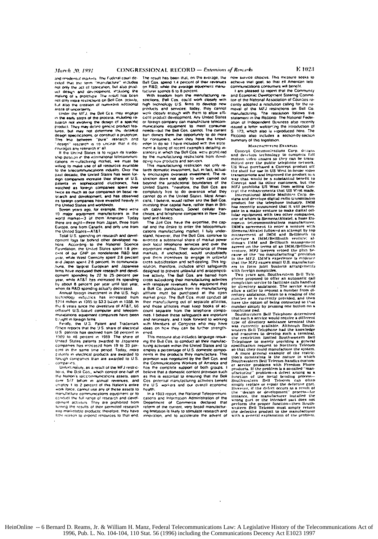$\mathcal{L}$ 

and residential models. The Foderal court deented that the term "manufacture" includes not only the act of fabrication, but also prodnot design and development, including the<br>making of a protetype. The result has been not only more restrictions on Bell Cos. activity, tut also the creation of numinous additional

areas of uncertainty.<br>Under the MFJ, the Bell Ccs. may engage in the early steps of the process, including resuarch not involving the design of a specific sources, but may may deline generic product fea-<br>tures, but may not determine the detailed<br>design specifications, or construct a prototype.<br>This line between "pure" research and research is so unclear that it disdesign'

courages any research at all.<br>If the United States is to regain its leadership position in the international telecommunications in indiactioning market, we must be willing to make use of all resources available to the telecommunications industry. Over the past decade, the United States has seen for eign companios increase their share of U.S. eign companies increase wie silvationics, has<br>patents in sophisticated eluctionics, has<br>watched as foreign companies sperit over<br>twice as much as our companies on basic re-<br>scarch and dovelopment, and has observed ns foreign companies have invested heavily in the United States and worldwide.

ero union years and for example, there were<br>Seven years ago, for example, there were<br>10 major equipment manufacturers in the<br>world market—3 of them American Today there are eight-three from Japan, three from Europe, one from Canada, and only une from the United States-AT&T.<br>Total U.S. spending on research and devel-

coment lags far behind other developed nafrom According to the National Science cent of our GNP on nondelense R&D last<br>year, while West Germany spent 2.6 percent ard Japan spent 28 percent. In communica-<br>tions, the largest European and Japanese tirms have increased their rosearch and develornis have increased their rosearch and dever-<br>opment spending by 22 to 25-percent per<br>year, while AT&T has increased its spending by about 6 percent per year until last sequently<br>when its R&D spending actually decreased.<br>Morini is R&D spending actually decreased.

tochoology industries has increased from<br>\$214 million in 1985 to \$3.3 billion in 1988. In the 6 years since the divestiture of AT&T. 66 offisient U.S.-based computer and telecom murications equipment comparies have been beinght in foreign firms

Ecogni in oreign situation.<br>Finally, the U.S. Patent and Trademark<br>Office reports that the U.S. share of electrical U.S. patents has deckned from 58 percent in<br>1989 to 46 percent in 1989. The share of United States patents awarded to Japanese<br>companies has increased from 19 to 33 percent in the same time period. Today, more<br>patents in electrical products are awarded to forcion companies than are awarded to U.S. comparies.

Unfortunately, as a result of the MFJ restricboils, the Bell Cos., which control one-half of over \$77 billion in annual revenues, unipley 1 to 2 percent of this Nation's entre work force, cannot use any of these assets to manufacture communications equipment or to conduct the full range of research and develepinent activities. They are prohibited from<br>turning the results of their permitted research intering the results of their permitted research<br>into marketable products; therefore, they have

The result has been that, on the average, the Bell Cos, spend 1.4 percent of their revenues<br>on R&D, while the avorage equipment menufacturer sponds 6 to 8 percent.

treadom from the manufacturing strictions. Pell Cos. could work closely with strictions, their cost. could work causely with<br>the historicity of S. S. Sims to develop new<br>with closely encough with them to allow effi-<br>with call product development. Any United States or foreign company can manufacture telecomor foreign company can manufacture tereom-<br>municipal consumer to meet computer<br>needs-but the Ball Cos, cannot. The current<br>ban denics them the opportunity to do more<br>for consumers, when they have the knowledge to do so. I have included with this state ment a listing of recent examples detailing in stances in which the Bell Cos, were prohibited by the manufacturing restrictions from developing now products and services.<br>This manufacturing restriction not only re-

lards domestic investment, but, in fact, actually oncourages overseas investment. The rebeyond the jurisdictional boundaries of the<br>United States. Therefore, the Boll Cos. are completely free to do overseas what they cannot do in the United States. Most Americans. I believe, would rather sea the Bell Cos. investing their capital here, rather than in Brit-<br>ish cable franchises, Soviet cellular tranchises, and telephone companies in New Zealand and Mexico.

The Bell Cos. have the expertise, the capital and the desire to enter the telecommunications manufacturing market. I fully under-<br>stand, however, that the Bell Cos. continue to exercise a substantial share of market power over local telephone services and over the eculpmant market. Their dominance of these markets, if unchecked, would undoubtedly ave them incentives to engage in unlawful cress subsidization and self-dealing. This leg-<br>islation, therefore, includes strict safeguards designed to prevent unlawful and anticompeti-<br>tive activity. The Bell Cos. are barred from cross subsidizing their manufacturing activities with ratepayer revenues. Any equipment that a Boll Co. purchases from its manufacturing<br>affiliate must be purchased at the open<br>market price. The Bell Cos. must conduct all their manufacturing out of separate affiliates, and these affiliates must keep books of account separate from the telephone companies. I believe these safequards are important and necessary, and I look forward to working<br>with Members of Congress who may have ideas on how they can be further strengthened.

This measure also includes language requiring the Bell Cos. to conduct all their manufacturing activities within the United States and to employ a percentage of U.S. domestic compo-<br>nents in the products they manufacture. This provision was negotiated by the Bell Cos. and he Communications Workers of America and has the complete support of both crowns. I believe that a domestic content provis .<br>.ion such as this is essential to ensuring that the Bell potential manufacturing activities benefit Cos the U.S. workers and our overall economic hostth

In a 1989 report, the National Telecom in a slow-report, metal-communi-<br>caloris and Information Administration of the<br>Department of Commerce declared that<br>reform of the current, very broad manufacturing<br>ing limitation is likely to stimulate research and<br>invovat

now survice choices. This measure seeks to achieve that goal, so that ell American telo communications consumers will benefit

I am pleased to report that the Community and Economic Development Steering Commitcently adopted a resolution calling for the recentry applies a resolutions on Bell Co.<br>marvilacturing. The resolution follows this<br>statement in the RECORD. The National Federation of Independent Business also recently issued a letter welcoming the introduction of S. 173, which also is reproduced here. The<br>RECORD also includes a soction-by-section summary of this legislation.

### MANUFACTURING EXAMPLES

Concept Communications Corp. designs<br>and develops technology to compress full<br>motion video inages so they can be transmation viewer the public telephone network.<br>US West purchased a Concept product off the shelf for use in US West h-house video<br>transmissions and improved the product in a transmissions and improvements and the primatic in a<br>concept and its other customers, but the<br>MFJ probibits US West from selling Con-<br>cept the enhancements that US West made.<br>e. the enhancements that US West made.

increased and develops digital radio transmission<br>product for the telephone industry. IMM<br>has recently announced that it will particular<br>pair in a major venture to make digital cel-<br>bitar equipment with two other companies one of whom is Stement/Ateatel, a huse Ethiopian and formulately to the frequenties in the stement to enter a venture with Stementy Atester followed an attempt by top share many reserves to the street of the street of the one of whom is Siemens/Alcatel, a huge Euers to form joint business arrangements with foreign companies.

with foreign companies.<br>Two years ago, Southwestern Bell Tele-<br>phone proposed to offer an automatic call<br>completion service to facilitie calls handled<br>by directory assistance. The service would<br>allow a caller to request a allow a caller to request a number from the<br>rectory assistance, listen to a reading of the<br>number as is currently provided, and then<br>have the option of being connected to Unit number simply by pressing one button on a<br>touchtone pad.

conclusion pad.<br>Southwestern Bell Teirphone determined<br>that such a service would require a different<br>type of directory assistance terminal than<br>western Bell Telephone had the inowledge<br>western Bell Telephone had the invest

was currently available. Although but<br>the knowledge and reading the resulting and reading the restriction limited Southwestern Bell<br>the restriction limited Southwestern Bell<br>represents to be restrict the set of the restric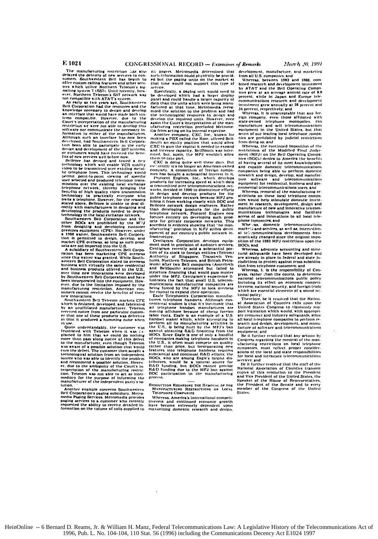The manufacturing restriction i.as also<br>delayed the delivery of rew services to con-<br>sumers. Southwestern Bell has begun to<br>offer custom calling features and other services which utility<br>definition Telecum's signaling sys The manufacturing restriction has also

knowledge necessary to design and developments and the same that and the mail developments of the mail of the main solution of the main solution of the main solution of the main solution of the main solution to eliminate t rectly with manufacturers in designing and developing the products needed to deploy<br>technology in the local exchange network.

through the power of the point of the control of the control of the control of the control of the point of the point of the point of the point of the point of the premises equipment (CPE). However, under the angle waiter,

western Bell Corporation stated its overseal<br>business with virtually the same residentia<br>and business products offered in the U.S.<br>over time new innovations were developed<br>by Southwestern Bell Corporation and have<br>been inc ever, due to the limitation imposed by the<br>manufacturing restriction. American con-<br>manufacturing restriction. American con-<br>sumers cannot receive the benefits of these<br>new innovations.

new uniovations.<br>Southwestern Bell Telecom markets CPE<br>which is designed, developed, and fabricated<br>by an unaffiliated manufacturer. Telecom received notice from one particular custom<br>er that one of these products was defective in that it produced a humming noise

cuse.<br>Quite understandably, the customer was Quite understandabily, the customer was related with Telecom when it was related to him that we could do nothing more than pass along notice of this defect to the manufacturer, even though Telecom was away of a possible s source who was able to identify the problem source who was able to identify the problem<br>and recommend a possible solution. However, due to the ambiguity of the Court's in-<br>terpretation of the manufacturing restriction. Televon was not able to act as inter-<br>temperat lution

lution.<br>
Another example concerns Southwestern<br>
Dell Corporation's paging subsidiary, Metro-<br>
media Paging Services Metromedia provides<br>
paging services to a customer who recently<br>
requested the ability to receive detailed

its pagers. Metromedia determined that<br>such information could physically be provide<br>ed but the paging units on the market at<br>that time would not support this type of service

service.<br>Specifically, a paging unit would need to<br>be developed which had a larger display<br>panel and could handle a larger capacity of<br>data than the units which were being manufactured at that time. Metromedia recor nized the solution to the problem and had<br>the technological resources to design and<br>develop the required units. However, once again the Court's interpretation of the man

again the Court's interpretation of the man-<br>tradiction precluded Metrome-<br>cla from acting on its linterial experits.<br>Another company, CXC, Inc., known for<br>making a PDX called the Rose, offered Bell-<br>South an equity positi

CXC to gain the capital it needed to exnand<br>and interest to exnand<br>and interest capacity. BellSouth was inter-<br>there to the capacity. BellSouth and the CXC is doing quite well these days. But<br>example, CXC is doing quite we works, diedded in 1990 to obscontinue efforts<br>to describe the control of the distinguished for the problement point<br>public it elephone network because MPJ pro-<br>hibits it from working closely with BOC and<br>then there is elec

provide the country a public riework in-<br>trastructure.<br>Centigram Corporation develops equip-<br>ment used in provision of audiotex services. Centigram recently sold a substantial por Centural mecentuly sold a substantial port<br>tion of its stock to foreign entities (Telcom)<br>Authority of Singapore, Transtech Ven-<br>tures, Northern Telecom, and British Petro-<br>leum) after two Bell companies (Ameritrich and Be and Sensouring that would pass must<br>return financing that would pass muster<br>under the MFJ. Centigram's experience il-<br>lustrates the fact that small U.S. telecom-<br>munications manufacturing companies are<br>being forced by the

munication manufacturing companies are<br>being amountation manufacturing companies are<br>forced by the MFJ to took overseas<br>for capital to expand their operation.<br>Easier Elephone handsets. Although con-<br>will telephone handset

RESOLUTION REGARDING THE REMOVAL OF THE MANUFACTURING RESTRICTIONS ON LOCAL TELEPHONE COMPANIES

Whereas, America's International competistress and continued economic growth<br>have become extremely dependent upon<br>maximizing domestic research and design. development, manufacture, and marketing<br>from all U.S. companies; and<br>Whereas, between 1983 and 1988, com-

bined research and development investment<br>by AT&T and the Bell Operating Companies grew at an average annual rate of 9.9 percent, while in Japan and Europe<br>communications research and develop tele investment grew annually at 28 percent and

investment grew annually at 28 percent and<br>34 percent, respectively; and<br>whereas, it is unacceptable that any for-<br>eign company, even those affiliated with<br>state-owned telephone monopolies, can<br>manufacture and sell telecom seven of our leading local telephone compa-<br>hiers are prohibited by judicial restrictions<br>from doing so; and<br>trom doing so; and

from doing so; and<br>whereas, the continued imposition of the<br>restrictions of the Modified Final Judge-<br>ment (MFJ) on the Bell Operating Compa-<br>nies (BOCs) denies to America the benefits nes vocuso unues to content a tre original de having several of its most knowledgeable<br>and capable domestic telecommunications<br>companies being able to perform domestic research and design, develop, and manufacture software and telecommunications<br>equipment for residential, business and governmental telecommunications users; and

Whereas removal of the manufactuing restrictions on these local telephone compa-<br>nies would help stimulate domestic investment in research, development, design and<br>manufacture of new and innovative telecom-<br>manufacture of new and innovative telecom-<br>munications - technologies - and - facilitate<br>access of said innovations to all local tele-

**EXERS of SHOW INFORMATION CONTRACT CONSUMPTION**<br>whereas, domestic telecommunications<br>marked and services, as well as, internation-<br>at telecommunications developments have drastically changed since the original imposition of the 1983 MFJ restrictions upon the **BOCs: and** 

books, and<br>whereas, adequate accounting and struc-<br>tural safeguards have been developed and<br>are already in place in federal and state jurisdictions to protect against cross subsidiza.

risalctions to protect against cross stimulation from telephone customers; and<br>Whereas, it is the responsibility of Congress, rather than the courts, to determine national telecommunications public policy<br>including its effect on economic competitiveness, national security, and foreign trade which are essential elements of a sound not<br>tional policy:<br>Therefore, be it resolved that the Nation-

al Association of Counties calls upon the<br>United States Congress to vigorously sup-<br>port legislation which would, with appropriate consumer and industry safeguards, allow ate consumer and minimizing antegrates to perform re-<br>search and design, development, and manu-<br>facture of software and telecommunications equipment: and

equipment; and<br>
equipment; and the main sections by<br>
Congress regarding the removal of the man-<br>
ufacturing restrictions on local telephone<br>
companies, must reflect proper consider-<br>
ations of the local and data responsibi services: and

Be it further resolved that the staff of the Determine resolved that the start of the President<br>copies of this resolution to the President<br>and Vice President of the United States, the and one President of the Blouse of Representatives, the President of the Senate and to every member of the Congress of the United States.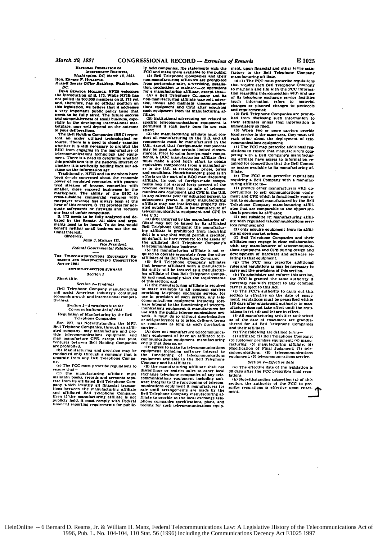### NATIONAL PERFECTION **EXECUTE ENERGY CONTRACTS.**<br>Washington, DC, March 18, 1991.

Hon. ERNEST P. Houring

di Senate Office Building, Washington. Russ  $\overline{p}$ 

DCR SEWATOR HOLLINGS: NPIB welcomes<br>the introduction of S. 173, While NFIB has<br>not polled its 500,000 members on S. 173 yet<br>and, therefore, has no official position on<br>this legislation, we believe that R addresses

and, therefore, hear no official position on<br>and and therefore, hear no official position on<br>a his herialistic respectively. It is the traction of<br>this herialistic modelly units are the latter ance<br>cally in the developing

our rear or unrait competition.<br>The fully analyzed and de-<br>bated by the Senate. All sides and argu-<br>ments need to be heard. To do less would<br>benefit neither nail business nor the na-<br>tional interest. **Bincerely**,

# cereiy,<br>Joun J. Morizy III,<br>Federal Governmental Relations.

THE TELECOMMUNICATIONS EQUIPMENT RESEARCH AND MANUFACTURING COMPETITION SEARCH AND<br>Act of 1991

### **SECTION-BY-SECTION SUMMARY** Section 1

Short title.

Section 2-Findinas

Bell Telephone Company manufacturing<br>will assist American Industry's continued<br>economic growth and international competi-<br>tennome tiveness.

## Section 3-Amendments to the<br>Communications Act of 1934

Regulation of Manfacturing by the Bell<br>Telephone Companies

Teleponce Companies<br>
Str. 227. (a) Notwithstanding the MFJ,<br>
Bell Telphone Companies, through an affili-<br>
ated company, may manufacture and pro-<br>
vide telecommunications<br>
ready manufacture CPE, except that joint<br>
ventures are prohibited.

are promined.<br>
(b) Manufacturing and provision may be<br>
conducted only through a company that is<br>
separate from any Bell Telephone Company

(c) The FCC must prescribe regulations to ensure that-

ensure that—<br>manufacturing affiliate must<br>maintain books, records and accounts separate from its affiliated Bell Telephone Com-<br>pany which identify all financial transactions between the manufacturing affiliate<br>and affili

ly held companies, file statements with the<br>FCC and make them available to the public;<br>(2) Bell Telephone Companies and their<br>non-manufacturing affli>tes are prohibited

non-manufacturing affilionea are prohibited<br>from performing antes, a-territaing, installa-<br>tion, production ar realinten-ince operations<br>for a manufacturing affiliate, except that—<br> $(A)$  a Bell Telephone Company and its<br>non non-b such equipment from its manufacturing  $r_{\text{intra}}$ 

(B) institutional advertising not related to speculi specific telecommunications equipment is<br>permitted if each party pays its pro rata

permitted if each party pays its pro-rate<br>
permitted if each party pays its pro-rate<br>
(3) the manufacturing antilliste must components<br>
duct all manufacturing an the U.S. and all<br>
components must be manufacturing in compo

the U.S.; (a) the manufacturing af-<br>
(i) debt incurred by the manufacturing af-<br>
fillelt may not be issued by the affilinted<br>
ing affilled is problemed by the manufacturing<br>
incurring affiliate is problemed to the expect

the affillated Bell Telephone Company's<br>the<br>communications business;<br>(5) the manufacturing affillate is not re-<br>using the operate separately from the other<br>affillates of the Bell Telephone Company affiliates<br>(6) Bell Tele carrier-

(A) does not manufacture telecommunical

(A) does not manufacture telecommunications<br>tions equipment of have an affiliated tele-<br>communications equipment manufacturing<br>entity that does so, or<br> $\alpha$  is agrees to make its telecommunications<br>equipment including soft

equipment available to the Bell Telephone<br>
(Company and lia affiliates, 1801 in Equipment<br>
(discontinue or restrict sales to other local<br>
discontinue or restrict sales to other local<br>
extensing telephone companies of any t phone companies specifications, plar<br>tooling for such telecommunications

ment, upon financial and other terms satis-

ment, upon number and understanding finding<br>theory to the Bell Telephone Company<br>manufacturing affiliate,<br>that require each Bell Telephone Company<br>that require each Bell Telephone Company<br>to manufaln and file with the PCC tion regarding interconnection with and use<br>of its telephone exchange service facilities or is technological information refers to material<br>changes or planned changes to protocols<br>and requirements);

(2) Bell Telephone Companies are probibly tar from disclosing such information to<br>their affiliates unless that information to<br>immediately so filed;

that the two or more carriers provide<br>local service in the same area, they must tell<br>each other about the deployment of telecommunications couloment:

communications equipment;<br>(4) The PCC may prescribe additional reg-<br>ulations to ensure that manufacturers com-<br>peting with a Bell Company's manufactur-<br>ing affiliate have access to information re-<br>quired for competition th ny makes available to its manufacturing affinate.

risk.<br>
(e) The FCC must prescribe rigulations<br>
requiring a Bell Company with a manufac-<br>
turing affiliate to-

(1) provide other manufacturers with op-<br>portunities to sell communications equip-<br>ment and CPE which is functionally equivalent to equipment manufactured by the Bell lent to equipment manufactured by the Bell<br>Telephone Company manufacturing affiliates that are comparable to the opportunities<br>the stap through the diproduction of the comparable to the opportunities<br> $(2)$  not aubsidize i

can be a streamed and the settlement from its affili-<br>at a streamed property from its affili-<br>at a dyen market prices,<br>(f) Bell Telephone Companies and their

and and a response companies and unter of<br>affiliates may engage in close collaboration<br>tions equipment and CPE during design and<br>dovelopment of hardware and solivare re-

development of hardware and software re-<br>lating to that equipment.<br>In the recent manner relationship and regulations as may be necessary to<br>the providions of this section.<br>The providions of this section,<br>the PCC is granted

carrier subject to this Act.<br>  $(3)$  and  $(5)$  and  $(6)$  and  $(7)$  and  $(8)$  and  $(9)$  and<br>  $(1)$  and  $(1)$  are the subject of the direct of energies<br>  $(1)$  and  $(1)$  and  $(1)$  and  $(1)$  and  $(1)$  and<br>  $(1)$  and  $(1)$  and

communicativity activities authorized<br>as of the date of enactment are grandfathered for all Bell Telephone Companies<br>and their affiliates.

and their attitutes,<br>
(k) The following are defined terms—<br>
(1) affiliate; (2) Bell Telephone Company;<br>
(3) customer premisea equipment; (4) manufacturing: (5) manufacturing affiliate: (6) racturing; (5) manufacturing arithmetic (6)<br>Modification of Final Judgment; (7) telecommunication<br>equipment; (9) telecommunications service. mmunications

### Section 4-Effective date

(a) The effective date of the legislation is<br>30 days after the FCC prescribes final regulations

lations.<br>(b) Notwithstanding subsection (a) of this<br>section, the authority of the FCC to pre-<br>scribe regulations is effective upon enact-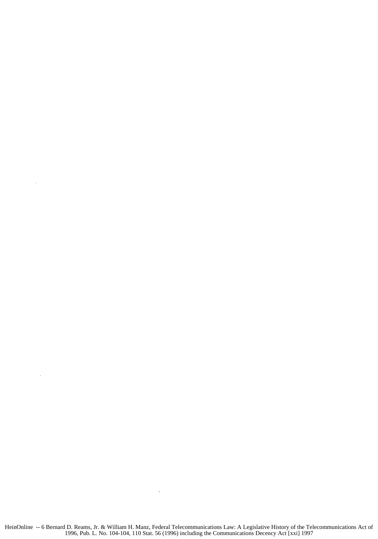HeinOnline -- 6 Bernard D. Reams, Jr. & William H. Manz, Federal Telecommunications Law: A Legislative History of the Telecommunications Act of 1996, Pub. L. No. 104-104, 110 Stat. 56 (1996) including the Communications Decency Act [xxi] 1997

 $\cdot$ 

 $\sim$ 

 $\sim$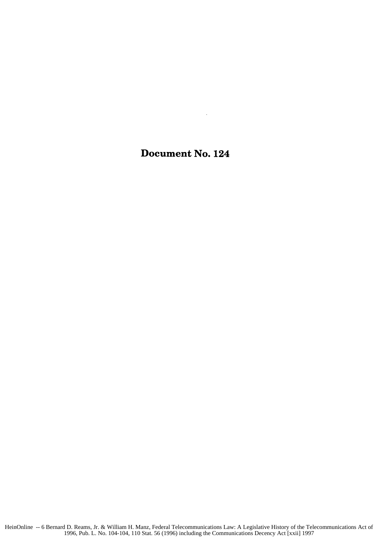## Document No. 124

 $\sim$